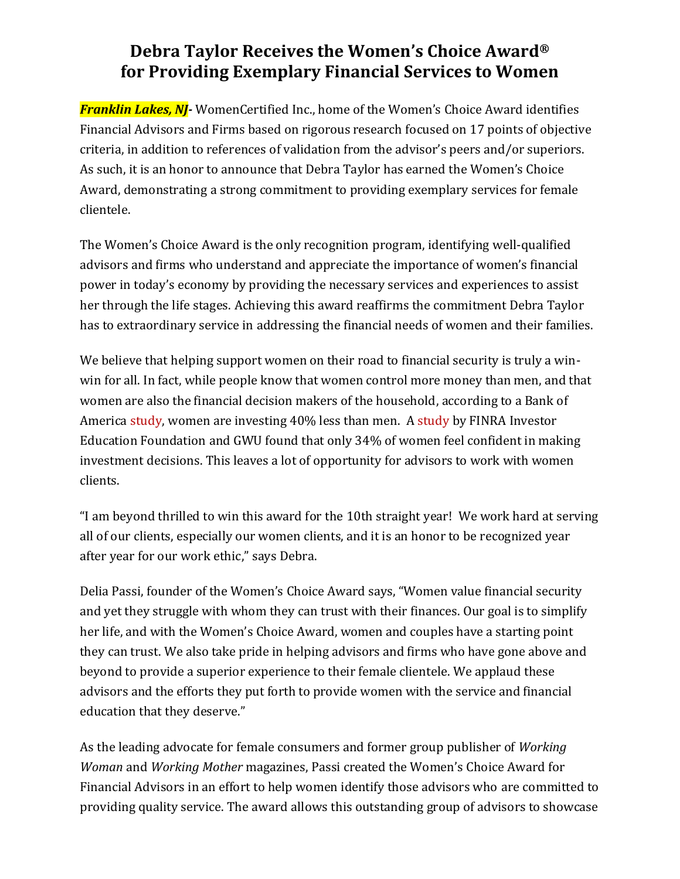## **Debra Taylor Receives the Women's Choice Award® for Providing Exemplary Financial Services to Women**

*Franklin Lakes, NJ-* WomenCertified Inc., home of the Women's Choice Award identifies Financial Advisors and Firms based on rigorous research focused on 17 points of objective criteria, in addition to references of validation from the advisor's peers and/or superiors. As such, it is an honor to announce that Debra Taylor has earned the Women's Choice Award, demonstrating a strong commitment to providing exemplary services for female clientele.

The Women's Choice Award is the only recognition program, identifying well-qualified advisors and firms who understand and appreciate the importance of women's financial power in today's economy by providing the necessary services and experiences to assist her through the life stages. Achieving this award reaffirms the commitment Debra Taylor has to extraordinary service in addressing the financial needs of women and their families.

We believe that helping support women on their road to financial security is truly a winwin for all. In fact, while people know that women control more money than men, and that women are also the financial decision makers of the household, according to a [Bank](https://www.cnbctv18.com/personal-finance/festive-bonanza-hdfc-bank-csc-to-provide-over-10000-offers-for-rural-india-11043942.htm) of America [study,](https://www.fa-mag.com/news/women-have-40--less-in-retirement-savings-than-men--boa-finds-62169.html) women are investing 40% less than men. A [study](https://www.cnbctv18.com/personal-finance/festive-bonanza-hdfc-bank-csc-to-provide-over-10000-offers-for-rural-india-11043942.htm) by FINRA Investor Education Foundation and GWU found that only 34% of women feel confident in making investment decisions. This leaves a lot of opportunity for advisors to work with women clients.

"I am beyond thrilled to win this award for the 10th straight year! We work hard at serving all of our clients, especially our women clients, and it is an honor to be recognized year after year for our work ethic," says Debra.

Delia Passi, founder of the Women's Choice Award says, "Women value financial security and yet they struggle with whom they can trust with their finances. Our goal is to simplify her life, and with the Women's Choice Award, women and couples have a starting point they can trust. We also take pride in helping advisors and firms who have gone above and beyond to provide a superior experience to their female clientele. We applaud these advisors and the efforts they put forth to provide women with the service and financial education that they deserve."

As the leading advocate for female consumers and former group publisher of *Working Woman* and *Working Mother* magazines, Passi created the Women's Choice Award for Financial Advisors in an effort to help women identify those advisors who are committed to providing quality service. The award allows this outstanding group of advisors to showcase